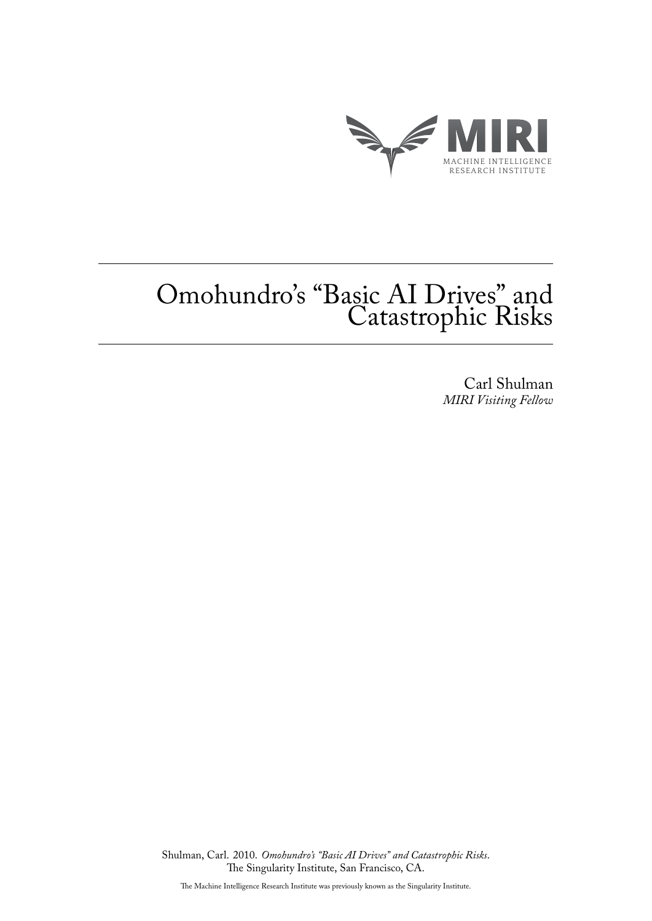

# Omohundro's "Basic AI Drives" and Catastrophic Risks

Carl Shulman *MIRI Visiting Fellow*

Shulman, Carl. 2010. *Omohundro's "Basic AI Drives" and Catastrophic Risks*. The Singularity Institute, San Francisco, CA.

The Machine Intelligence Research Institute was previously known as the Singularity Institute.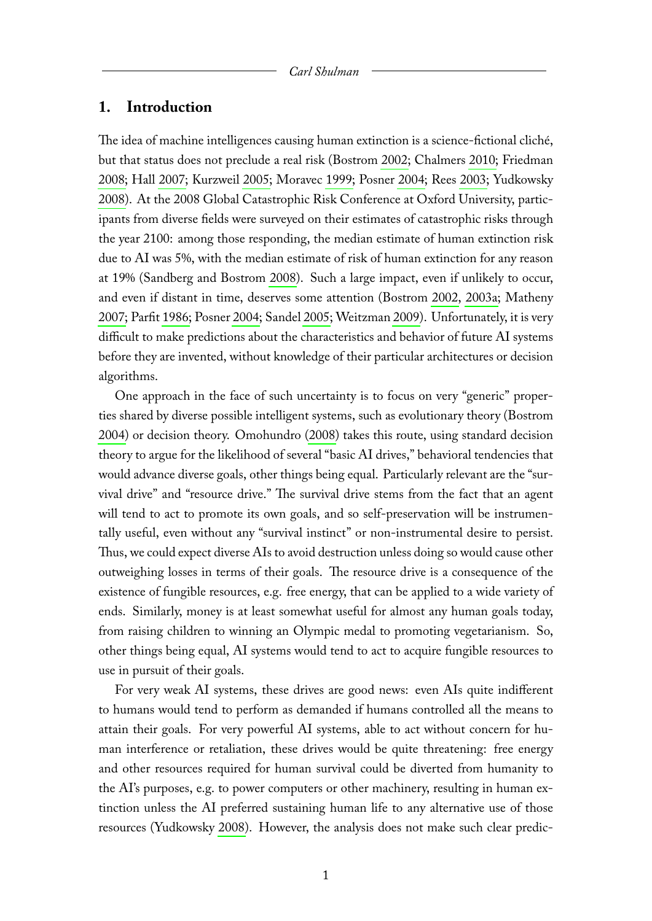## **1. Introduction**

The idea of machine intelligences causing human extinction is a science-fictional cliché, but that status does not preclude a real risk (Bostrom [2002;](#page-9-0) Chalmers [2010;](#page-9-1) Friedman [2008;](#page-9-2) Hall [2007;](#page-9-3) Kurzweil [2005;](#page-9-4) Moravec [1999;](#page-9-5) Posner [2004;](#page-10-0) Rees [2003;](#page-10-1) Yudkowsky [2008\)](#page-10-2). At the 2008 Global Catastrophic Risk Conference at Oxford University, participants from diverse fields were surveyed on their estimates of catastrophic risks through the year 2100: among those responding, the median estimate of human extinction risk due to AI was 5%, with the median estimate of risk of human extinction for any reason at 19% (Sandberg and Bostrom [2008\)](#page-10-3). Such a large impact, even if unlikely to occur, and even if distant in time, deserves some attention (Bostrom [2002,](#page-9-0) [2003a;](#page-9-6) Matheny [2007;](#page-9-7) Parfit [1986;](#page-10-4) Posner [2004;](#page-10-0) Sandel [2005;](#page-10-5) Weitzman [2009\)](#page-10-6). Unfortunately, it is very difficult to make predictions about the characteristics and behavior of future AI systems before they are invented, without knowledge of their particular architectures or decision algorithms.

One approach in the face of such uncertainty is to focus on very "generic" properties shared by diverse possible intelligent systems, such as evolutionary theory (Bostrom [2004\)](#page-9-8) or decision theory. Omohundro [\(2008\)](#page-10-7) takes this route, using standard decision theory to argue for the likelihood of several "basic AI drives," behavioral tendencies that would advance diverse goals, other things being equal. Particularly relevant are the "survival drive" and "resource drive." The survival drive stems from the fact that an agent will tend to act to promote its own goals, and so self-preservation will be instrumentally useful, even without any "survival instinct" or non-instrumental desire to persist. Thus, we could expect diverse AIs to avoid destruction unless doing so would cause other outweighing losses in terms of their goals. The resource drive is a consequence of the existence of fungible resources, e.g. free energy, that can be applied to a wide variety of ends. Similarly, money is at least somewhat useful for almost any human goals today, from raising children to winning an Olympic medal to promoting vegetarianism. So, other things being equal, AI systems would tend to act to acquire fungible resources to use in pursuit of their goals.

For very weak AI systems, these drives are good news: even AIs quite indifferent to humans would tend to perform as demanded if humans controlled all the means to attain their goals. For very powerful AI systems, able to act without concern for human interference or retaliation, these drives would be quite threatening: free energy and other resources required for human survival could be diverted from humanity to the AI's purposes, e.g. to power computers or other machinery, resulting in human extinction unless the AI preferred sustaining human life to any alternative use of those resources (Yudkowsky [2008\)](#page-10-2). However, the analysis does not make such clear predic-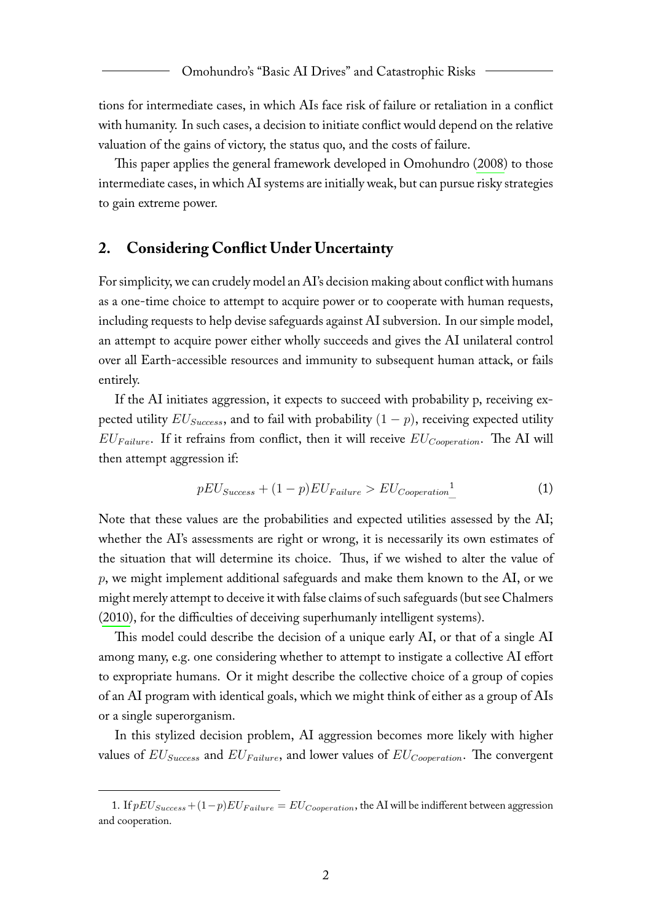tions for intermediate cases, in which AIs face risk of failure or retaliation in a conflict with humanity. In such cases, a decision to initiate conflict would depend on the relative valuation of the gains of victory, the status quo, and the costs of failure.

This paper applies the general framework developed in Omohundro [\(2008\)](#page-10-7) to those intermediate cases, in which AI systems are initially weak, but can pursue risky strategies to gain extreme power.

# **2. Considering Conflict Under Uncertainty**

For simplicity, we can crudely model an AI's decision making about conflict with humans as a one-time choice to attempt to acquire power or to cooperate with human requests, including requests to help devise safeguards against AI subversion. In our simple model, an attempt to acquire power either wholly succeeds and gives the AI unilateral control over all Earth-accessible resources and immunity to subsequent human attack, or fails entirely.

If the AI initiates aggression, it expects to succeed with probability p, receiving expected utility  $EU_{Success}$ , and to fail with probability  $(1 - p)$ , receiving expected utility  $EU_{Failure}$ . If it refrains from conflict, then it will receive  $EU_{Cooperation}$ . The AI will then attempt aggression if:

$$
pEU_{Success} + (1-p)EU_{Failure} > EU_{Cooperation}^{1}
$$
 (1)

Note that these values are the probabilities and expected utilities assessed by the AI; whether the AI's assessments are right or wrong, it is necessarily its own estimates of the situation that will determine its choice. Thus, if we wished to alter the value of p, we might implement additional safeguards and make them known to the AI, or we might merely attempt to deceive it with false claims of such safeguards (but see Chalmers [\(2010\)](#page-9-1), for the difficulties of deceiving superhumanly intelligent systems).

This model could describe the decision of a unique early AI, or that of a single AI among many, e.g. one considering whether to attempt to instigate a collective AI effort to expropriate humans. Or it might describe the collective choice of a group of copies of an AI program with identical goals, which we might think of either as a group of AIs or a single superorganism.

In this stylized decision problem, AI aggression becomes more likely with higher values of  $EU_{Success}$  and  $EU_{Failure}$ , and lower values of  $EU_{Cooperation}$ . The convergent

<span id="page-2-0"></span><sup>1.</sup> If  $pEU_{Success}+(1-p)EU_{Failure}=EU_{Cooperation}$ , the AI will be indifferent between aggression and cooperation.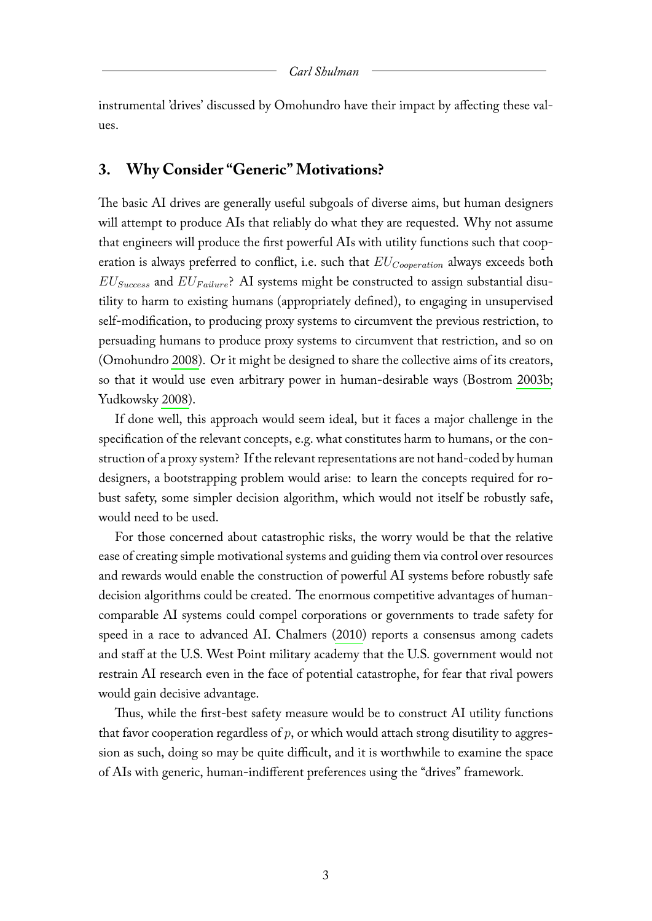instrumental 'drives' discussed by Omohundro have their impact by affecting these values.

# **3. Why Consider "Generic" Motivations?**

The basic AI drives are generally useful subgoals of diverse aims, but human designers will attempt to produce AIs that reliably do what they are requested. Why not assume that engineers will produce the first powerful AIs with utility functions such that cooperation is always preferred to conflict, i.e. such that  $EU_{Cooperation}$  always exceeds both  $EU_{Success}$  and  $EU_{Failure}$ ? AI systems might be constructed to assign substantial disutility to harm to existing humans (appropriately defined), to engaging in unsupervised self-modification, to producing proxy systems to circumvent the previous restriction, to persuading humans to produce proxy systems to circumvent that restriction, and so on (Omohundro [2008\)](#page-10-7). Or it might be designed to share the collective aims of its creators, so that it would use even arbitrary power in human-desirable ways (Bostrom [2003b;](#page-9-9) Yudkowsky [2008\)](#page-10-2).

If done well, this approach would seem ideal, but it faces a major challenge in the specification of the relevant concepts, e.g. what constitutes harm to humans, or the construction of a proxy system? If the relevant representations are not hand-coded by human designers, a bootstrapping problem would arise: to learn the concepts required for robust safety, some simpler decision algorithm, which would not itself be robustly safe, would need to be used.

For those concerned about catastrophic risks, the worry would be that the relative ease of creating simple motivational systems and guiding them via control over resources and rewards would enable the construction of powerful AI systems before robustly safe decision algorithms could be created. The enormous competitive advantages of humancomparable AI systems could compel corporations or governments to trade safety for speed in a race to advanced AI. Chalmers [\(2010\)](#page-9-1) reports a consensus among cadets and staff at the U.S. West Point military academy that the U.S. government would not restrain AI research even in the face of potential catastrophe, for fear that rival powers would gain decisive advantage.

Thus, while the first-best safety measure would be to construct AI utility functions that favor cooperation regardless of  $p$ , or which would attach strong disutility to aggression as such, doing so may be quite difficult, and it is worthwhile to examine the space of AIs with generic, human-indifferent preferences using the "drives" framework.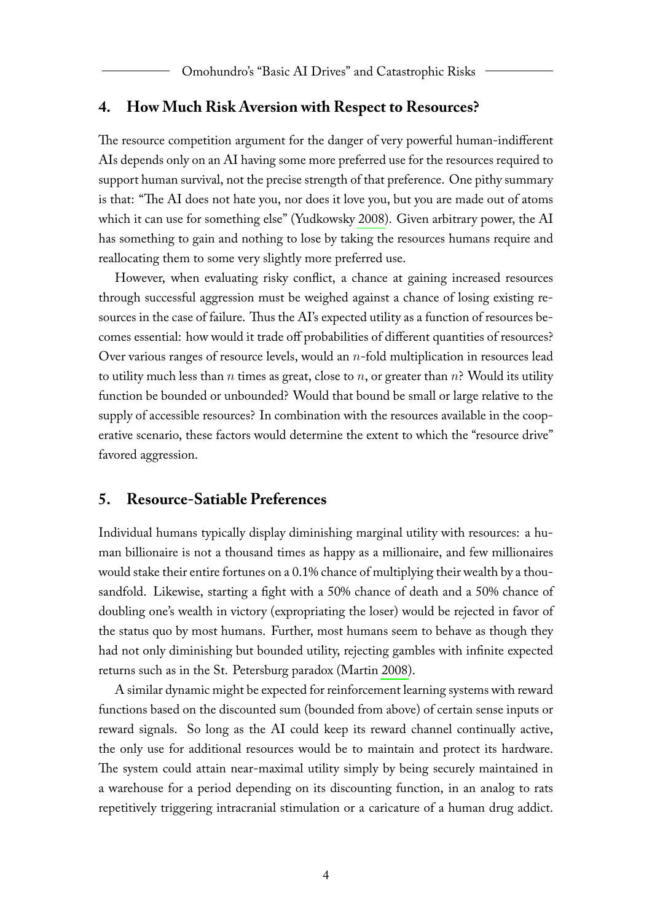## **4. How Much Risk Aversion with Respect to Resources?**

The resource competition argument for the danger of very powerful human-indifferent AIs depends only on an AI having some more preferred use for the resources required to support human survival, not the precise strength of that preference. One pithy summary is that: "The AI does not hate you, nor does it love you, but you are made out of atoms which it can use for something else" (Yudkowsky [2008\)](#page-10-2). Given arbitrary power, the AI has something to gain and nothing to lose by taking the resources humans require and reallocating them to some very slightly more preferred use.

However, when evaluating risky conflict, a chance at gaining increased resources through successful aggression must be weighed against a chance of losing existing resources in the case of failure. Thus the AI's expected utility as a function of resources becomes essential: how would it trade off probabilities of different quantities of resources? Over various ranges of resource levels, would an  $n$ -fold multiplication in resources lead to utility much less than *n* times as great, close to *n*, or greater than *n*? Would its utility function be bounded or unbounded? Would that bound be small or large relative to the supply of accessible resources? In combination with the resources available in the cooperative scenario, these factors would determine the extent to which the "resource drive" favored aggression.

# **5. Resource-Satiable Preferences**

Individual humans typically display diminishing marginal utility with resources: a human billionaire is not a thousand times as happy as a millionaire, and few millionaires would stake their entire fortunes on a 0.1% chance of multiplying their wealth by a thousandfold. Likewise, starting a fight with a 50% chance of death and a 50% chance of doubling one's wealth in victory (expropriating the loser) would be rejected in favor of the status quo by most humans. Further, most humans seem to behave as though they had not only diminishing but bounded utility, rejecting gambles with infinite expected returns such as in the St. Petersburg paradox (Martin [2008\)](#page-9-10).

A similar dynamic might be expected for reinforcement learning systems with reward functions based on the discounted sum (bounded from above) of certain sense inputs or reward signals. So long as the AI could keep its reward channel continually active, the only use for additional resources would be to maintain and protect its hardware. The system could attain near-maximal utility simply by being securely maintained in a warehouse for a period depending on its discounting function, in an analog to rats repetitively triggering intracranial stimulation or a caricature of a human drug addict.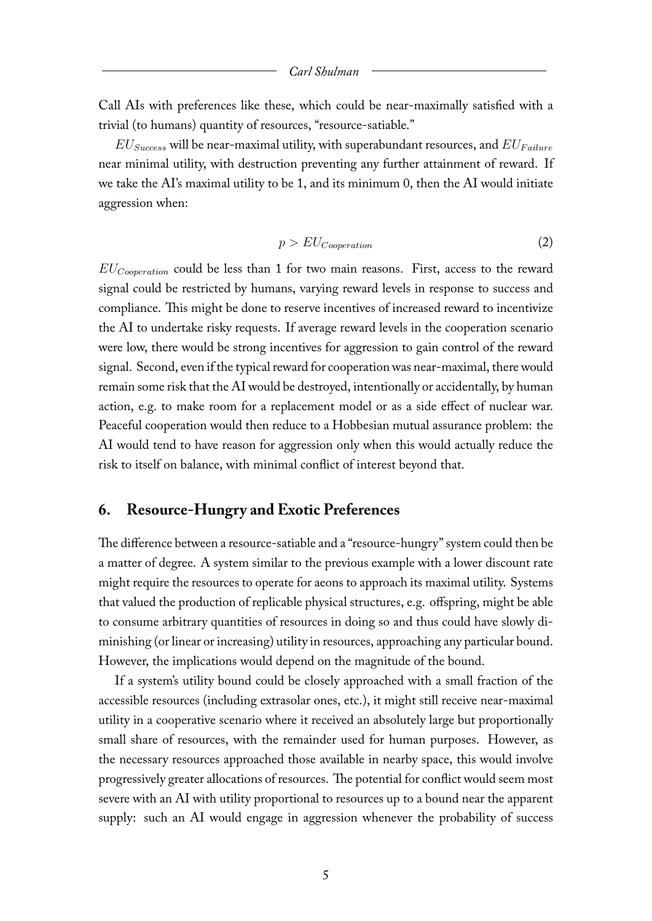#### *Carl Shulman*

Call AIs with preferences like these, which could be near-maximally satisfied with a trivial (to humans) quantity of resources, "resource-satiable."

 $EU_{Success}$  will be near-maximal utility, with superabundant resources, and  $EU_{Failure}$ near minimal utility, with destruction preventing any further attainment of reward. If we take the AI's maximal utility to be 1, and its minimum 0, then the AI would initiate aggression when:

$$
p > EU_{Cooperation} \tag{2}
$$

 $EU_{Cooperation}$  could be less than 1 for two main reasons. First, access to the reward signal could be restricted by humans, varying reward levels in response to success and compliance. This might be done to reserve incentives of increased reward to incentivize the AI to undertake risky requests. If average reward levels in the cooperation scenario were low, there would be strong incentives for aggression to gain control of the reward signal. Second, even if the typical reward for cooperation was near-maximal, there would remain some risk that the AI would be destroyed, intentionally or accidentally, by human action, e.g. to make room for a replacement model or as a side effect of nuclear war. Peaceful cooperation would then reduce to a Hobbesian mutual assurance problem: the AI would tend to have reason for aggression only when this would actually reduce the risk to itself on balance, with minimal conflict of interest beyond that.

# **6. Resource-Hungry and Exotic Preferences**

The difference between a resource-satiable and a "resource-hungry" system could then be a matter of degree. A system similar to the previous example with a lower discount rate might require the resources to operate for aeons to approach its maximal utility. Systems that valued the production of replicable physical structures, e.g. offspring, might be able to consume arbitrary quantities of resources in doing so and thus could have slowly diminishing (or linear or increasing) utility in resources, approaching any particular bound. However, the implications would depend on the magnitude of the bound.

If a system's utility bound could be closely approached with a small fraction of the accessible resources (including extrasolar ones, etc.), it might still receive near-maximal utility in a cooperative scenario where it received an absolutely large but proportionally small share of resources, with the remainder used for human purposes. However, as the necessary resources approached those available in nearby space, this would involve progressively greater allocations of resources. The potential for conflict would seem most severe with an AI with utility proportional to resources up to a bound near the apparent supply: such an AI would engage in aggression whenever the probability of success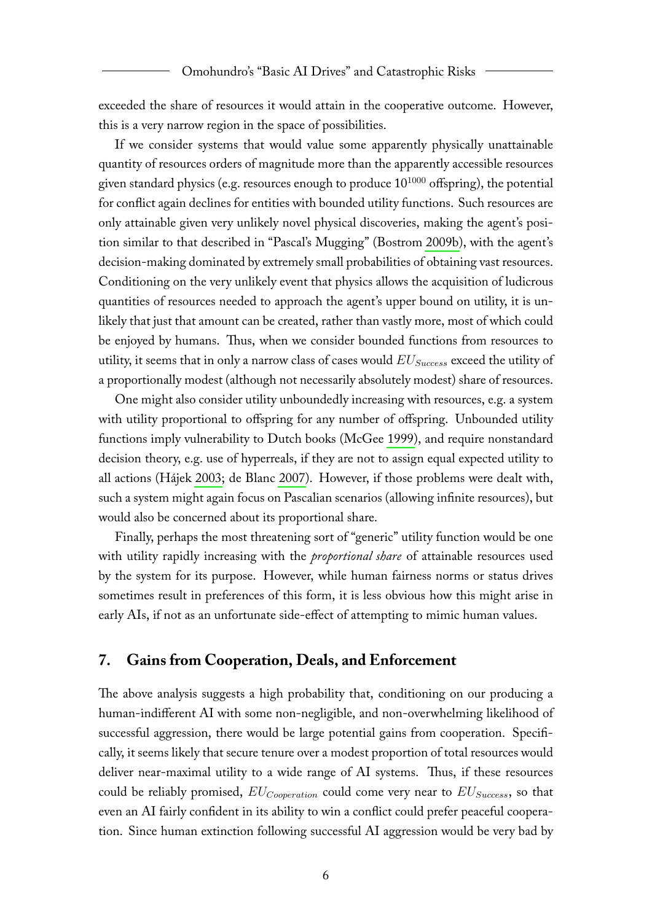exceeded the share of resources it would attain in the cooperative outcome. However, this is a very narrow region in the space of possibilities.

If we consider systems that would value some apparently physically unattainable quantity of resources orders of magnitude more than the apparently accessible resources given standard physics (e.g. resources enough to produce  $10^{1000}$  offspring), the potential for conflict again declines for entities with bounded utility functions. Such resources are only attainable given very unlikely novel physical discoveries, making the agent's position similar to that described in "Pascal's Mugging" (Bostrom [2009b\)](#page-9-11), with the agent's decision-making dominated by extremely small probabilities of obtaining vast resources. Conditioning on the very unlikely event that physics allows the acquisition of ludicrous quantities of resources needed to approach the agent's upper bound on utility, it is unlikely that just that amount can be created, rather than vastly more, most of which could be enjoyed by humans. Thus, when we consider bounded functions from resources to utility, it seems that in only a narrow class of cases would  $EU_{Success}$  exceed the utility of a proportionally modest (although not necessarily absolutely modest) share of resources.

One might also consider utility unboundedly increasing with resources, e.g. a system with utility proportional to offspring for any number of offspring. Unbounded utility functions imply vulnerability to Dutch books (McGee [1999\)](#page-9-12), and require nonstandard decision theory, e.g. use of hyperreals, if they are not to assign equal expected utility to all actions (Hájek [2003;](#page-9-13) de Blanc [2007\)](#page-9-14). However, if those problems were dealt with, such a system might again focus on Pascalian scenarios (allowing infinite resources), but would also be concerned about its proportional share.

Finally, perhaps the most threatening sort of "generic" utility function would be one with utility rapidly increasing with the *proportional share* of attainable resources used by the system for its purpose. However, while human fairness norms or status drives sometimes result in preferences of this form, it is less obvious how this might arise in early AIs, if not as an unfortunate side-effect of attempting to mimic human values.

# **7. Gains from Cooperation, Deals, and Enforcement**

The above analysis suggests a high probability that, conditioning on our producing a human-indifferent AI with some non-negligible, and non-overwhelming likelihood of successful aggression, there would be large potential gains from cooperation. Specifically, it seems likely that secure tenure over a modest proportion of total resources would deliver near-maximal utility to a wide range of AI systems. Thus, if these resources could be reliably promised,  $EU_{Cooperation}$  could come very near to  $EU_{Success}$ , so that even an AI fairly confident in its ability to win a conflict could prefer peaceful cooperation. Since human extinction following successful AI aggression would be very bad by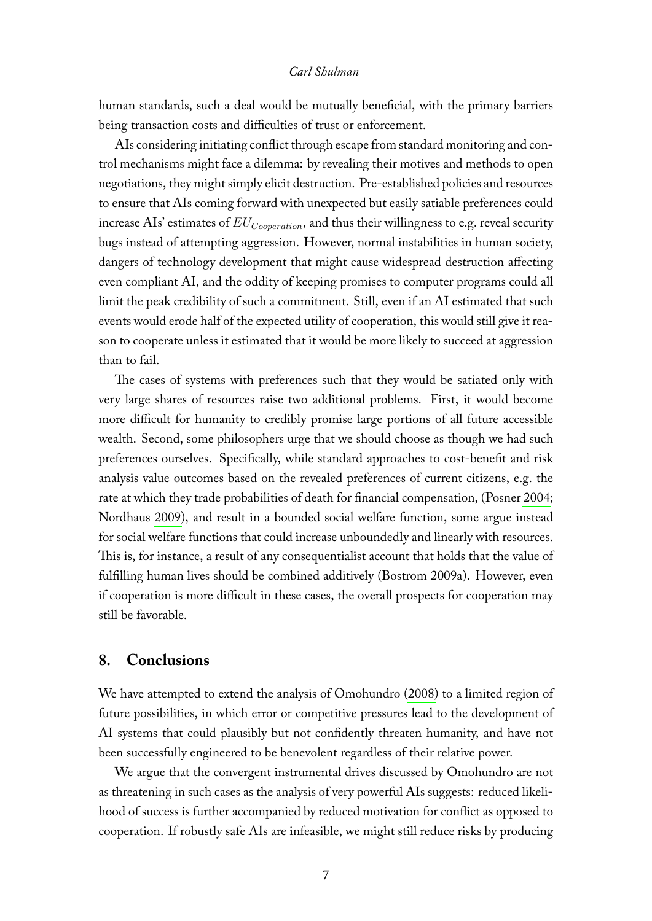#### *Carl Shulman*

human standards, such a deal would be mutually beneficial, with the primary barriers being transaction costs and difficulties of trust or enforcement.

AIs considering initiating conflict through escape from standard monitoring and control mechanisms might face a dilemma: by revealing their motives and methods to open negotiations, they might simply elicit destruction. Pre-established policies and resources to ensure that AIs coming forward with unexpected but easily satiable preferences could increase AIs' estimates of  $EU_{Cooperation}$ , and thus their willingness to e.g. reveal security bugs instead of attempting aggression. However, normal instabilities in human society, dangers of technology development that might cause widespread destruction affecting even compliant AI, and the oddity of keeping promises to computer programs could all limit the peak credibility of such a commitment. Still, even if an AI estimated that such events would erode half of the expected utility of cooperation, this would still give it reason to cooperate unless it estimated that it would be more likely to succeed at aggression than to fail.

The cases of systems with preferences such that they would be satiated only with very large shares of resources raise two additional problems. First, it would become more difficult for humanity to credibly promise large portions of all future accessible wealth. Second, some philosophers urge that we should choose as though we had such preferences ourselves. Specifically, while standard approaches to cost-benefit and risk analysis value outcomes based on the revealed preferences of current citizens, e.g. the rate at which they trade probabilities of death for financial compensation, (Posner [2004;](#page-10-0) Nordhaus [2009\)](#page-9-15), and result in a bounded social welfare function, some argue instead for social welfare functions that could increase unboundedly and linearly with resources. This is, for instance, a result of any consequentialist account that holds that the value of fulfilling human lives should be combined additively (Bostrom [2009a\)](#page-9-16). However, even if cooperation is more difficult in these cases, the overall prospects for cooperation may still be favorable.

## **8. Conclusions**

We have attempted to extend the analysis of Omohundro [\(2008\)](#page-10-7) to a limited region of future possibilities, in which error or competitive pressures lead to the development of AI systems that could plausibly but not confidently threaten humanity, and have not been successfully engineered to be benevolent regardless of their relative power.

We argue that the convergent instrumental drives discussed by Omohundro are not as threatening in such cases as the analysis of very powerful AIs suggests: reduced likelihood of success is further accompanied by reduced motivation for conflict as opposed to cooperation. If robustly safe AIs are infeasible, we might still reduce risks by producing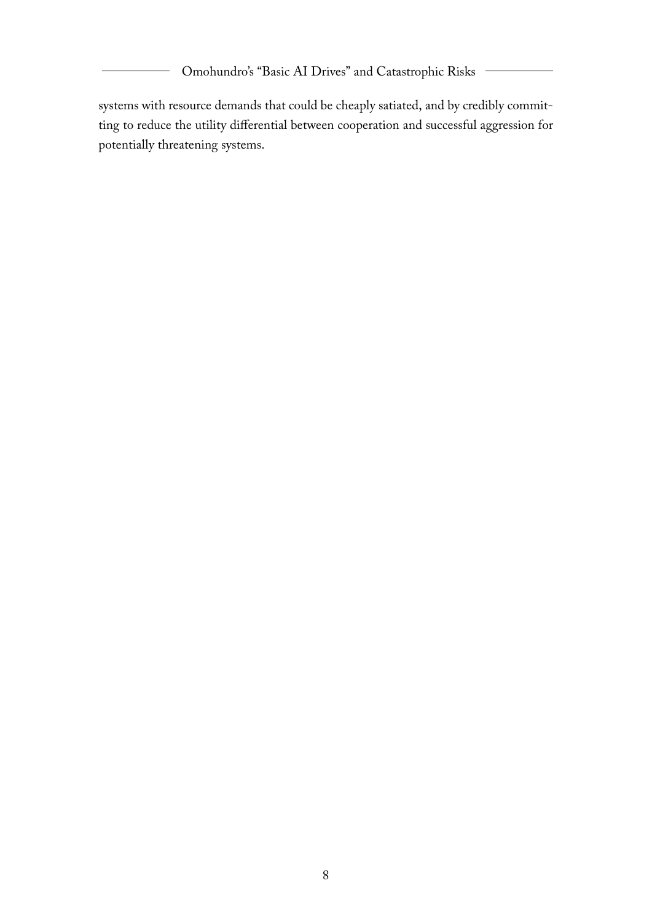Omohundro's "Basic AI Drives" and Catastrophic Risks

systems with resource demands that could be cheaply satiated, and by credibly committing to reduce the utility differential between cooperation and successful aggression for potentially threatening systems.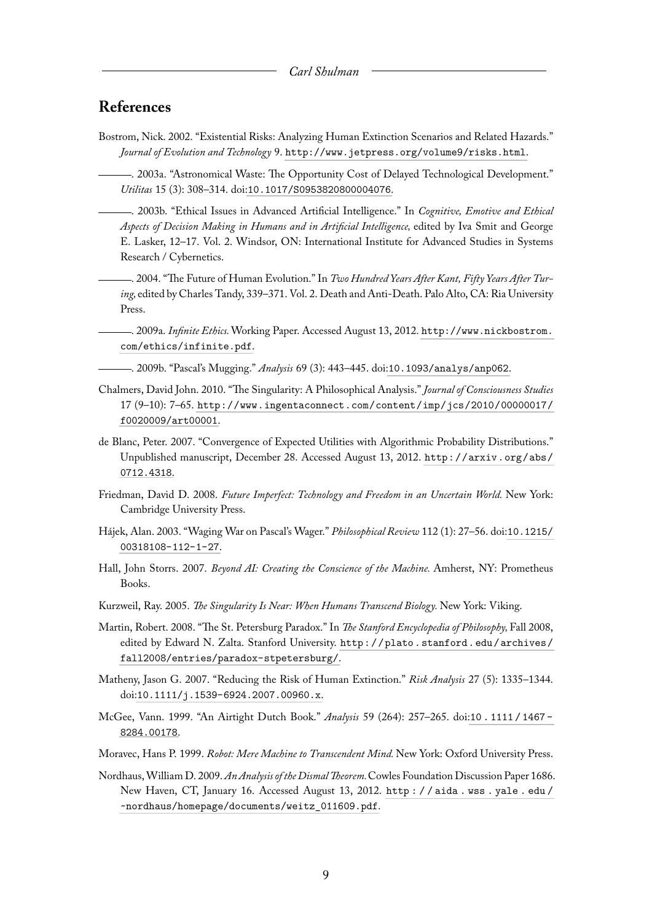# **References**

<span id="page-9-0"></span>Bostrom, Nick. 2002. "Existential Risks: Analyzing Human Extinction Scenarios and Related Hazards." *Journal of Evolution and Technology* 9. <http://www.jetpress.org/volume9/risks.html>.

<span id="page-9-6"></span>. 2003a. "Astronomical Waste: The Opportunity Cost of Delayed Technological Development." *Utilitas* 15 (3): 308–314. doi:[10.1017/S0953820800004076](http://dx.doi.org/10.1017/S0953820800004076).

<span id="page-9-9"></span>. 2003b. "Ethical Issues in Advanced Artificial Intelligence." In *Cognitive, Emotive and Ethical Aspects of Decision Making in Humans and in Artificial Intelligence,* edited by Iva Smit and George E. Lasker, 12–17. Vol. 2. Windsor, ON: International Institute for Advanced Studies in Systems Research / Cybernetics.

<span id="page-9-8"></span>. 2004. "The Future of Human Evolution." In *Two Hundred Years After Kant, Fifty Years After Turing,* edited by Charles Tandy, 339–371. Vol. 2. Death and Anti-Death. Palo Alto, CA: Ria University Press.

<span id="page-9-16"></span>. 2009a. *Infinite Ethics.*Working Paper. Accessed August 13, 2012. [http://www.nickbostrom.](http://www.nickbostrom.com/ethics/infinite.pdf) [com/ethics/infinite.pdf](http://www.nickbostrom.com/ethics/infinite.pdf).

<span id="page-9-11"></span>. 2009b. "Pascal's Mugging." *Analysis* 69 (3): 443–445. doi:[10.1093/analys/anp062](http://dx.doi.org/10.1093/analys/anp062).

- <span id="page-9-1"></span>Chalmers, David John. 2010. "The Singularity: A Philosophical Analysis." *Journal of Consciousness Studies* 17 (9–10): 7–65. [http://www.ingentaconnect.com/content/imp/jcs/2010/00000017/](http://www.ingentaconnect.com/content/imp/jcs/2010/00000017/f0020009/art00001) [f0020009/art00001](http://www.ingentaconnect.com/content/imp/jcs/2010/00000017/f0020009/art00001).
- <span id="page-9-14"></span>de Blanc, Peter. 2007. "Convergence of Expected Utilities with Algorithmic Probability Distributions." Unpublished manuscript, December 28. Accessed August 13, 2012. [http://arxiv.org/abs/](http://arxiv.org/abs/0712.4318) [0712.4318](http://arxiv.org/abs/0712.4318).
- <span id="page-9-2"></span>Friedman, David D. 2008. *Future Imperfect: Technology and Freedom in an Uncertain World.* New York: Cambridge University Press.
- <span id="page-9-13"></span>Hájek, Alan. 2003. "Waging War on Pascal's Wager." *Philosophical Review* 112 (1): 27–56. doi:[10.1215/](http://dx.doi.org/10.1215/00318108-112-1-27) [00318108-112-1-27](http://dx.doi.org/10.1215/00318108-112-1-27).
- <span id="page-9-3"></span>Hall, John Storrs. 2007. *Beyond AI: Creating the Conscience of the Machine.* Amherst, NY: Prometheus Books.
- <span id="page-9-4"></span>Kurzweil, Ray. 2005. *The Singularity Is Near: When Humans Transcend Biology.* New York: Viking.
- <span id="page-9-10"></span>Martin, Robert. 2008. "The St. Petersburg Paradox." In *The Stanford Encyclopedia of Philosophy,* Fall 2008, edited by Edward N. Zalta. Stanford University. [http://plato.stanford.edu/archives/](http://plato.stanford.edu/archives/fall2008/entries/paradox-stpetersburg/) [fall2008/entries/paradox-stpetersburg/](http://plato.stanford.edu/archives/fall2008/entries/paradox-stpetersburg/).
- <span id="page-9-7"></span>Matheny, Jason G. 2007. "Reducing the Risk of Human Extinction." *Risk Analysis* 27 (5): 1335–1344. doi:[10.1111/j.1539-6924.2007.00960.x](http://dx.doi.org/10.1111/j.1539-6924.2007.00960.x).
- <span id="page-9-12"></span>McGee, Vann. 1999. "An Airtight Dutch Book." *Analysis* 59 (264): 257–265. doi:[10 . 1111 / 1467 -](http://dx.doi.org/10.1111/1467-8284.00178) [8284.00178](http://dx.doi.org/10.1111/1467-8284.00178).
- <span id="page-9-5"></span>Moravec, Hans P. 1999. *Robot: Mere Machine to Transcendent Mind.* New York: Oxford University Press.
- <span id="page-9-15"></span>Nordhaus,William D. 2009. *An Analysis of the DismalTheorem.*Cowles Foundation Discussion Paper 1686. New Haven, CT, January 16. Accessed August 13, 2012. [http : / / aida . wss . yale . edu /](http://aida.wss.yale.edu/~nordhaus/homepage/documents/weitz_011609.pdf) [~nordhaus/homepage/documents/weitz\\_011609.pdf](http://aida.wss.yale.edu/~nordhaus/homepage/documents/weitz_011609.pdf).